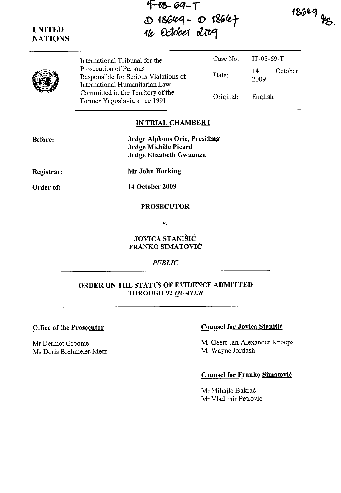$18649$  HB.

**'F-05- GOI-T**  D 18649 - O 1864<del>7</del> 16 October 2009



•

International Tribunal for the Case No. Prosecution of Persons Responsible for Serious Violations of Date: International Humanitarian Law Committed in the Territory of the Former Yugoslavia since 1991 Criginal:

IT-03-69-T 14 October 2009 English

#### **IN TRIAL CHAMBER I**

**Before:** 

**Judge Alphons Orie, Presiding Judge Michele Picard Judge Elizabeth Gwaunza** 

**Registrar:** 

**Order of:** 

**Mr John Hocking** 

**14 October 2009** 

#### **PROSECUTOR**

**v.** 

# **JOVICA STANISIC FRANKO SIMATOVIC**

*PUBLIC* 

### **ORDER ONTHE STATUS OF EVIDENCE ADMITTED THROUGH 92** *QUATER*

Mr Dermot Groome Ms Doris Brehmeier-Metz

# **Office of the Prosecutor Counsel for Jovica Stanisic Counsel for Jovica Stanisic**

Mr Geert-Jan Alexander Knoops Mr Wayne Jordash

# **Counsel for Franko Simatovic**

Mr Mihajlo Bakrač Mr Vladimir Petrovi6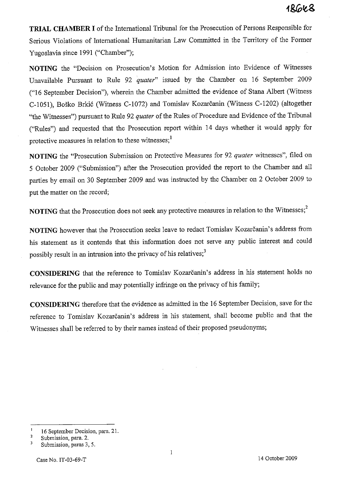# 1&GK&

**TRIAL CHAMBER I** of the International Tribunal for the Prosecution of Persons Responsible for Serious Violations of International Humanitarian Law Committed in the Territory of the Former Yugoslavia since 1991 ("Chamber");

**NOTING** the "Decision on Prosecution's Motion for Admission into Evidence of Witnesses Unavailable Pursuant to Rule 92 *quater"* issued by the Chamber on 16 September 2009 ("16 September Decision"), wherein the Chamber admitted the evidence of Stana Albert (Witness C-1051), Boško Brkić (Witness C-1072) and Tomislav Kozarčanin (Witness C-1202) (altogether "the Witnesses") pursuant to Rule 92 *quater* of the Rules of Procedure and Evidence of the Tribunal ("Rules") and requested that the Prosecution report within 14 days whether it would apply for protective measures in relation to these witnesses;<sup>1</sup>

**NOTING** the "Prosecution Submission on Protective Measures for 92 *quater* witnesses", filed on 5 October 2009 ("Submission") after the Prosecution provided the report to the Chamber and all parties by email on 30 September 2009 and was instructed by the Chamber on 2 October 2009 to put the matter on the record;

**NOTING** that the Prosecution does not seek any protective measures in relation to the Witnesses;<sup>2</sup>

NOTING however that the Prosecution seeks leave to redact Tomislav Kozarčanin's address from his statement as it contends that this information does not serve any public interest and could possibly result in an intrusion into the privacy of his relatives;<sup>3</sup>

CONSIDERING that the reference to Tomislav Kozarčanin's address in his statement holds no relevance for the public and may potentially infringe on the privacy of his family;

**CONSIDERING** therefore that the evidence as admitted in the 16 September Decision, save for the reference to Tomislav Kozarcanin's address in his statement, shall become public and that the Witnesses shall be referred to by their names instead of their proposed pseudonyms;

 $\mathbf{1}$ 16 September Decision, para. 21.

<sup>2</sup>  Submission, para. 2.

 $\overline{\mathbf{3}}$ **Submission, paras 3, 5.**